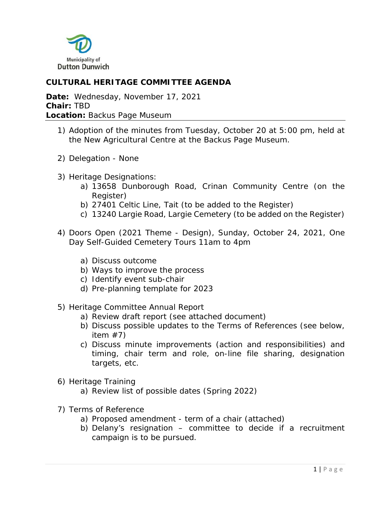

# **CULTURAL HERITAGE COMMITTEE AGENDA**

**Date:** Wednesday, November 17, 2021 **Chair:** TBD **Location:** Backus Page Museum

- 1) Adoption of the minutes from Tuesday, October 20 at 5:00 pm, held at the New Agricultural Centre at the Backus Page Museum.
- 2) Delegation None
- 3) Heritage Designations:
	- a) 13658 Dunborough Road, Crinan Community Centre (on the Register)
	- b) 27401 Celtic Line, Tait (to be added to the Register)
	- c) 13240 Largie Road, Largie Cemetery (to be added on the Register)
- 4) Doors Open (2021 Theme Design), Sunday, October 24, 2021, One Day Self-Guided Cemetery Tours 11am to 4pm
	- a) Discuss outcome
	- b) Ways to improve the process
	- c) Identify event sub-chair
	- d) Pre-planning template for 2023
- 5) Heritage Committee Annual Report
	- a) Review draft report (see attached document)
	- b) Discuss possible updates to the Terms of References (see below, item  $#7$ )
	- c) Discuss minute improvements (action and responsibilities) and timing, chair term and role, on-line file sharing, designation targets, etc.
- 6) Heritage Training
	- a) Review list of possible dates (Spring 2022)
- 7) Terms of Reference
	- a) Proposed amendment term of a chair (attached)
	- b) Delany's resignation committee to decide if a recruitment campaign is to be pursued.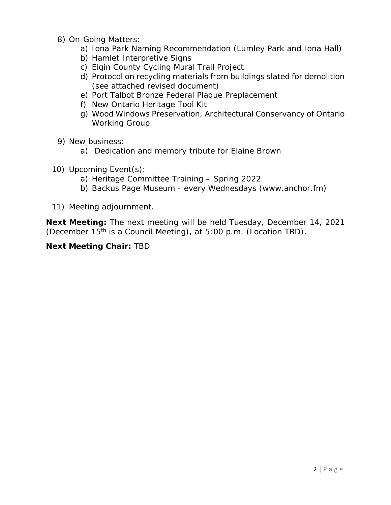- 8) On-Going Matters:
	- a) Iona Park Naming Recommendation (Lumley Park and Iona Hall)
	- b) Hamlet Interpretive Signs
	- c) Elgin County Cycling Mural Trail Project
	- d) Protocol on recycling materials from buildings slated for demolition (see attached revised document)
	- e) Port Talbot Bronze Federal Plaque Preplacement
	- f) New Ontario Heritage Tool Kit
	- g) Wood Windows Preservation, Architectural Conservancy of Ontario Working Group
- 9) New business:
	- a) Dedication and memory tribute for Elaine Brown
- 10) Upcoming Event(s):
	- a) Heritage Committee Training Spring 2022
	- b) Backus Page Museum every Wednesdays (www.anchor.fm)
- 11) Meeting adjournment.

**Next Meeting:** The next meeting will be held Tuesday, December 14, 2021 (December 15th is a Council Meeting), at 5:00 p.m. (Location TBD).

#### **Next Meeting Chair:** TBD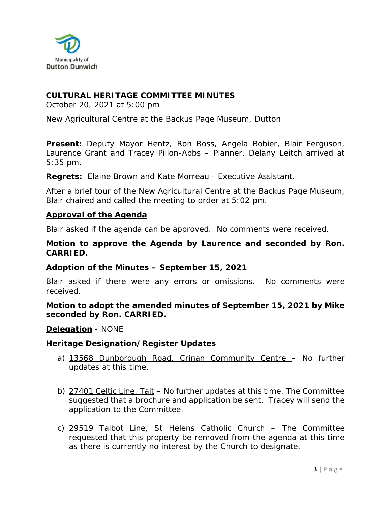

#### **CULTURAL HERITAGE COMMITTEE MINUTES**

October 20, 2021 at 5:00 pm

New Agricultural Centre at the Backus Page Museum, Dutton

**Present:** Deputy Mayor Hentz, Ron Ross, Angela Bobier, Blair Ferguson, Laurence Grant and Tracey Pillon-Abbs – Planner. Delany Leitch arrived at 5:35 pm.

**Regrets:** Elaine Brown and Kate Morreau - Executive Assistant.

After a brief tour of the New Agricultural Centre at the Backus Page Museum, Blair chaired and called the meeting to order at 5:02 pm.

#### **Approval of the Agenda**

Blair asked if the agenda can be approved. No comments were received.

#### **Motion to approve the Agenda by Laurence and seconded by Ron. CARRIED.**

#### **Adoption of the Minutes – September 15, 2021**

Blair asked if there were any errors or omissions. No comments were received.

**Motion to adopt the amended minutes of September 15, 2021 by Mike seconded by Ron. CARRIED.** 

#### **Delegation** - NONE

#### **Heritage Designation/Register Updates**

- a) 13568 Dunborough Road, Crinan Community Centre No further updates at this time.
- b) 27401 Celtic Line, Tait No further updates at this time. The Committee suggested that a brochure and application be sent. Tracey will send the application to the Committee.
- c) 29519 Talbot Line, St Helens Catholic Church The Committee requested that this property be removed from the agenda at this time as there is currently no interest by the Church to designate.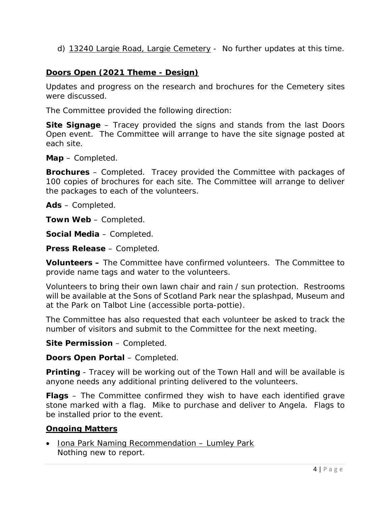d) 13240 Largie Road, Largie Cemetery - No further updates at this time.

#### **Doors Open (2021 Theme - Design)**

Updates and progress on the research and brochures for the Cemetery sites were discussed.

The Committee provided the following direction:

**Site Signage** – Tracey provided the signs and stands from the last Doors Open event. The Committee will arrange to have the site signage posted at each site.

**Map** – Completed.

**Brochures** – Completed. Tracey provided the Committee with packages of 100 copies of brochures for each site. The Committee will arrange to deliver the packages to each of the volunteers.

**Ads** – Completed.

**Town Web** – Completed.

**Social Media** – Completed.

**Press Release** – Completed.

**Volunteers –** The Committee have confirmed volunteers. The Committee to provide name tags and water to the volunteers.

Volunteers to bring their own lawn chair and rain / sun protection. Restrooms will be available at the Sons of Scotland Park near the splashpad, Museum and at the Park on Talbot Line (accessible porta-pottie).

The Committee has also requested that each volunteer be asked to track the number of visitors and submit to the Committee for the next meeting.

**Site Permission** – Completed.

**Doors Open Portal** – Completed.

**Printing** - Tracey will be working out of the Town Hall and will be available is anyone needs any additional printing delivered to the volunteers.

**Flags** – The Committee confirmed they wish to have each identified grave stone marked with a flag. Mike to purchase and deliver to Angela. Flags to be installed prior to the event.

#### **Ongoing Matters**

• Iona Park Naming Recommendation – Lumley Park Nothing new to report.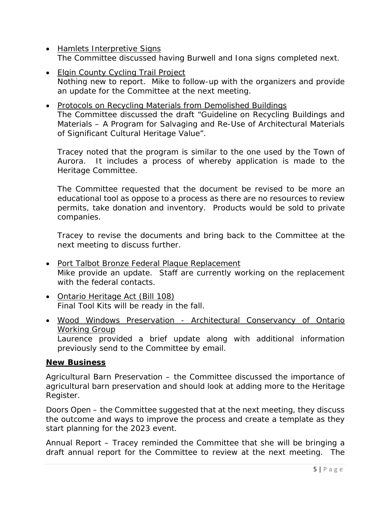- Hamlets Interpretive Signs The Committee discussed having Burwell and Iona signs completed next.
- Elgin County Cycling Trail Project Nothing new to report. Mike to follow-up with the organizers and provide an update for the Committee at the next meeting.
- Protocols on Recycling Materials from Demolished Buildings The Committee discussed the draft "Guideline on Recycling Buildings and Materials – A Program for Salvaging and Re-Use of Architectural Materials of Significant Cultural Heritage Value".

Tracey noted that the program is similar to the one used by the Town of Aurora. It includes a process of whereby application is made to the Heritage Committee.

The Committee requested that the document be revised to be more an educational tool as oppose to a process as there are no resources to review permits, take donation and inventory. Products would be sold to private companies.

Tracey to revise the documents and bring back to the Committee at the next meeting to discuss further.

- Port Talbot Bronze Federal Plaque Replacement Mike provide an update. Staff are currently working on the replacement with the federal contacts.
- Ontario Heritage Act (Bill 108) Final Tool Kits will be ready in the fall.
- Wood Windows Preservation Architectural Conservancy of Ontario Working Group Laurence provided a brief update along with additional information previously send to the Committee by email.

#### **New Business**

Agricultural Barn Preservation – the Committee discussed the importance of agricultural barn preservation and should look at adding more to the Heritage Register.

Doors Open – the Committee suggested that at the next meeting, they discuss the outcome and ways to improve the process and create a template as they start planning for the 2023 event.

Annual Report – Tracey reminded the Committee that she will be bringing a draft annual report for the Committee to review at the next meeting. The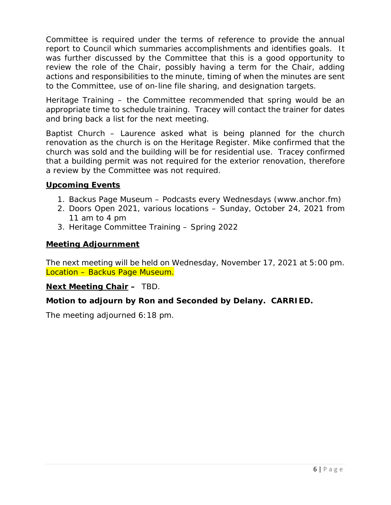Committee is required under the terms of reference to provide the annual report to Council which summaries accomplishments and identifies goals. It was further discussed by the Committee that this is a good opportunity to review the role of the Chair, possibly having a term for the Chair, adding actions and responsibilities to the minute, timing of when the minutes are sent to the Committee, use of on-line file sharing, and designation targets.

Heritage Training – the Committee recommended that spring would be an appropriate time to schedule training. Tracey will contact the trainer for dates and bring back a list for the next meeting.

Baptist Church – Laurence asked what is being planned for the church renovation as the church is on the Heritage Register. Mike confirmed that the church was sold and the building will be for residential use. Tracey confirmed that a building permit was not required for the exterior renovation, therefore a review by the Committee was not required.

## **Upcoming Events**

- 1. Backus Page Museum Podcasts every Wednesdays (www.anchor.fm)
- 2. Doors Open 2021, various locations Sunday, October 24, 2021 from 11 am to 4 pm
- 3. Heritage Committee Training Spring 2022

#### **Meeting Adjournment**

The next meeting will be held on Wednesday, November 17, 2021 at 5:00 pm. Location – Backus Page Museum.

#### **Next Meeting Chair –** TBD.

# **Motion to adjourn by Ron and Seconded by Delany. CARRIED.**

The meeting adjourned 6:18 pm.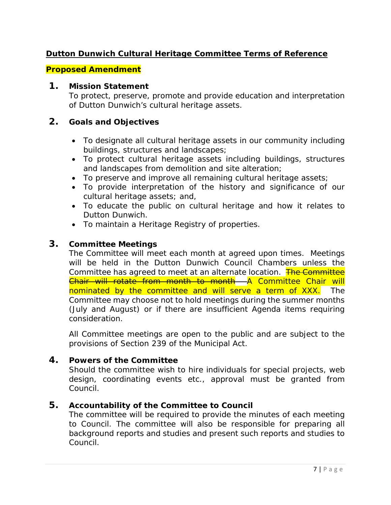# **Dutton Dunwich Cultural Heritage Committee Terms of Reference**

#### *Proposed Amendment*

#### **1. Mission Statement**

To protect, preserve, promote and provide education and interpretation of Dutton Dunwich's cultural heritage assets.

#### **2. Goals and Objectives**

- To designate all cultural heritage assets in our community including buildings, structures and landscapes;
- To protect cultural heritage assets including buildings, structures and landscapes from demolition and site alteration;
- To preserve and improve all remaining cultural heritage assets;
- To provide interpretation of the history and significance of our cultural heritage assets; and,
- To educate the public on cultural heritage and how it relates to Dutton Dunwich.
- To maintain a Heritage Registry of properties.

#### **3. Committee Meetings**

The Committee will meet each month at agreed upon times. Meetings will be held in the Dutton Dunwich Council Chambers unless the Committee has agreed to meet at an alternate location. The Committee Chair will rotate from month to month A Committee Chair will nominated by the committee and will serve a term of XXX. The Committee may choose not to hold meetings during the summer months (July and August) or if there are insufficient Agenda items requiring consideration.

All Committee meetings are open to the public and are subject to the provisions of Section 239 of the Municipal Act.

#### **4. Powers of the Committee**

Should the committee wish to hire individuals for special projects, web design, coordinating events etc., approval must be granted from Council.

#### **5. Accountability of the Committee to Council**

The committee will be required to provide the minutes of each meeting to Council. The committee will also be responsible for preparing all background reports and studies and present such reports and studies to Council.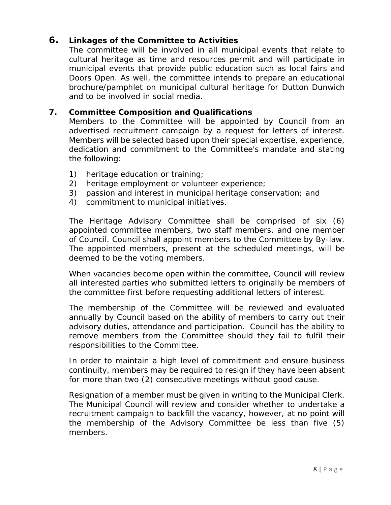# **6. Linkages of the Committee to Activities**

The committee will be involved in all municipal events that relate to cultural heritage as time and resources permit and will participate in municipal events that provide public education such as local fairs and Doors Open. As well, the committee intends to prepare an educational brochure/pamphlet on municipal cultural heritage for Dutton Dunwich and to be involved in social media.

## **7. Committee Composition and Qualifications**

Members to the Committee will be appointed by Council from an advertised recruitment campaign by a request for letters of interest. Members will be selected based upon their special expertise, experience, dedication and commitment to the Committee's mandate and stating the following:

- 1) heritage education or training;
- 2) heritage employment or volunteer experience;
- 3) passion and interest in municipal heritage conservation; and
- 4) commitment to municipal initiatives.

The Heritage Advisory Committee shall be comprised of six (6) appointed committee members, two staff members, and one member of Council. Council shall appoint members to the Committee by By-law. The appointed members, present at the scheduled meetings, will be deemed to be the voting members.

When vacancies become open within the committee, Council will review all interested parties who submitted letters to originally be members of the committee first before requesting additional letters of interest.

The membership of the Committee will be reviewed and evaluated annually by Council based on the ability of members to carry out their advisory duties, attendance and participation. Council has the ability to remove members from the Committee should they fail to fulfil their responsibilities to the Committee.

In order to maintain a high level of commitment and ensure business continuity, members may be required to resign if they have been absent for more than two (2) consecutive meetings without good cause.

Resignation of a member must be given in writing to the Municipal Clerk. The Municipal Council will review and consider whether to undertake a recruitment campaign to backfill the vacancy, however, at no point will the membership of the Advisory Committee be less than five (5) members.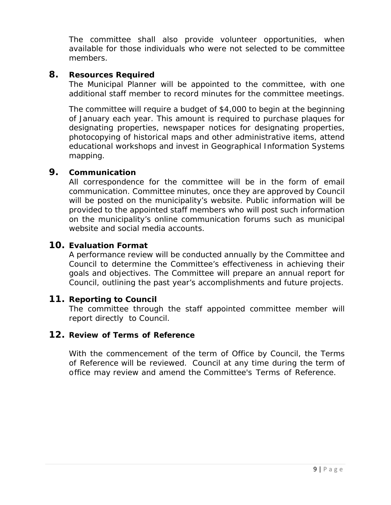The committee shall also provide volunteer opportunities, when available for those individuals who were not selected to be committee members.

#### **8. Resources Required**

The Municipal Planner will be appointed to the committee, with one additional staff member to record minutes for the committee meetings.

The committee will require a budget of \$4,000 to begin at the beginning of January each year. This amount is required to purchase plaques for designating properties, newspaper notices for designating properties, photocopying of historical maps and other administrative items, attend educational workshops and invest in Geographical Information Systems mapping.

#### **9. Communication**

All correspondence for the committee will be in the form of email communication. Committee minutes, once they are approved by Council will be posted on the municipality's website. Public information will be provided to the appointed staff members who will post such information on the municipality's online communication forums such as municipal website and social media accounts.

#### **10. Evaluation Format**

A performance review will be conducted annually by the Committee and Council to determine the Committee's effectiveness in achieving their goals and objectives. The Committee will prepare an annual report for Council, outlining the past year's accomplishments and future projects.

#### **11. Reporting to Council**

The committee through the staff appointed committee member will report directly to Council.

#### **12. Review of Terms of Reference**

With the commencement of the term of Office by Council, the Terms of Reference will be reviewed. Council at any time during the term of office may review and amend the Committee's Terms of Reference.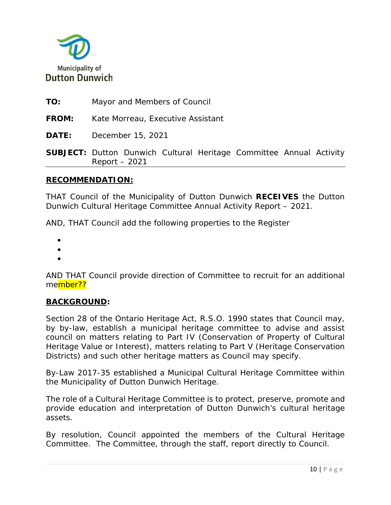

**TO:** Mayor and Members of Council

**FROM:** Kate Morreau, Executive Assistant

**DATE:** December 15, 2021

**SUBJECT:** Dutton Dunwich Cultural Heritage Committee Annual Activity Report – 2021

#### **RECOMMENDATION:**

THAT Council of the Municipality of Dutton Dunwich **RECEIVES** the Dutton Dunwich Cultural Heritage Committee Annual Activity Report – 2021.

AND, THAT Council add the following properties to the Register

- •
- •
- •

AND THAT Council provide direction of Committee to recruit for an additional member??

#### **BACKGROUND:**

Section 28 of the Ontario Heritage Act, R.S.O. 1990 states that Council may, by by-law, establish a municipal heritage committee to advise and assist council on matters relating to Part IV (Conservation of Property of Cultural Heritage Value or Interest), matters relating to Part V (Heritage Conservation Districts) and such other heritage matters as Council may specify.

By-Law 2017-35 established a Municipal Cultural Heritage Committee within the Municipality of Dutton Dunwich Heritage.

The role of a Cultural Heritage Committee is to protect, preserve, promote and provide education and interpretation of Dutton Dunwich's cultural heritage assets.

By resolution, Council appointed the members of the Cultural Heritage Committee. The Committee, through the staff, report directly to Council.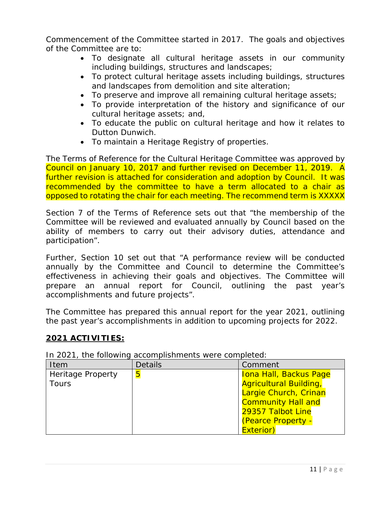Commencement of the Committee started in 2017. The goals and objectives of the Committee are to:

- To designate all cultural heritage assets in our community including buildings, structures and landscapes;
- To protect cultural heritage assets including buildings, structures and landscapes from demolition and site alteration;
- To preserve and improve all remaining cultural heritage assets;
- To provide interpretation of the history and significance of our cultural heritage assets; and,
- To educate the public on cultural heritage and how it relates to Dutton Dunwich.
- To maintain a Heritage Registry of properties.

The Terms of Reference for the Cultural Heritage Committee was approved by Council on January 10, 2017 and further revised on December 11, 2019. A further revision is attached for consideration and adoption by Council. It was recommended by the committee to have a term allocated to a chair as opposed to rotating the chair for each meeting. The recommend term is XXXXX

Section 7 of the Terms of Reference sets out that "the membership of the Committee will be reviewed and evaluated annually by Council based on the ability of members to carry out their advisory duties, attendance and participation".

Further, Section 10 set out that "A performance review will be conducted annually by the Committee and Council to determine the Committee's effectiveness in achieving their goals and objectives. The Committee will prepare an annual report for Council, outlining the past year's accomplishments and future projects".

The Committee has prepared this annual report for the year 2021, outlining the past year's accomplishments in addition to upcoming projects for 2022.

# **2021 ACTIVITIES:**

| Item                     | <b>Details</b> | Comment                       |
|--------------------------|----------------|-------------------------------|
| <b>Heritage Property</b> | 5              | <b>Iona Hall, Backus Page</b> |
| <b>Tours</b>             |                | <b>Agricultural Building,</b> |
|                          |                | Largie Church, Crinan         |
|                          |                | <b>Community Hall and</b>     |
|                          |                | 29357 Talbot Line             |
|                          |                | (Pearce Property -            |
|                          |                | <b>Exterior)</b>              |

In 2021, the following accomplishments were completed: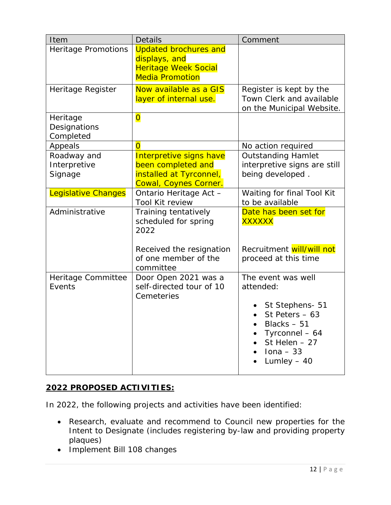| Item                       | <b>Details</b>                                        | Comment                                               |
|----------------------------|-------------------------------------------------------|-------------------------------------------------------|
| <b>Heritage Promotions</b> | <b>Updated brochures and</b><br>displays, and         |                                                       |
|                            | <b>Heritage Week Social</b><br><b>Media Promotion</b> |                                                       |
| Heritage Register          | Now available as a GIS                                | Register is kept by the                               |
|                            | layer of internal use.                                | Town Clerk and available<br>on the Municipal Website. |
| Heritage<br>Designations   | $\overline{\mathbf{0}}$                               |                                                       |
| Completed                  |                                                       |                                                       |
| Appeals                    | $\overline{0}$                                        | No action required                                    |
| Roadway and                | Interpretive signs have                               | <b>Outstanding Hamlet</b>                             |
| Interpretive               | been completed and                                    | interpretive signs are still                          |
| Signage                    | installed at Tyrconnel,<br>Cowal, Coynes Corner.      | being developed.                                      |
| <b>Legislative Changes</b> | Ontario Heritage Act -                                | Waiting for final Tool Kit                            |
|                            | Tool Kit review                                       | to be available                                       |
| Administrative             | Training tentatively<br>scheduled for spring<br>2022  | Date has been set for<br><b>XXXXXX</b>                |
|                            |                                                       |                                                       |
|                            | Received the resignation                              | Recruitment will/will not                             |
|                            | of one member of the<br>committee                     | proceed at this time                                  |
| Heritage Committee         | Door Open 2021 was a                                  | The event was well                                    |
| Events                     | self-directed tour of 10                              | attended:                                             |
|                            | Cemeteries                                            | St Stephens- 51                                       |
|                            |                                                       | St Peters $-63$                                       |
|                            |                                                       | Blacks $-51$                                          |
|                            |                                                       | Tyrconnel - 64                                        |
|                            |                                                       | St Helen - 27                                         |
|                            |                                                       | $Iona - 33$                                           |
|                            |                                                       | Lumley $-40$                                          |

# **2022 PROPOSED ACTIVITIES:**

In 2022, the following projects and activities have been identified:

- Research, evaluate and recommend to Council new properties for the Intent to Designate (includes registering by-law and providing property plaques)
- Implement Bill 108 changes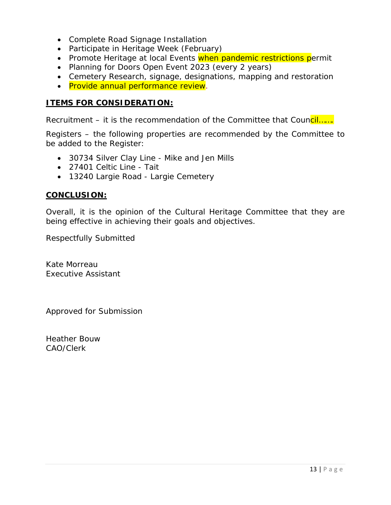- Complete Road Signage Installation
- Participate in Heritage Week (February)
- Promote Heritage at local Events when pandemic restrictions permit
- Planning for Doors Open Event 2023 (every 2 years)
- Cemetery Research, signage, designations, mapping and restoration
- Provide annual performance review.

#### **ITEMS FOR CONSIDERATION:**

Recruitment – it is the recommendation of the Committee that Council......

Registers – the following properties are recommended by the Committee to be added to the Register:

- 30734 Silver Clay Line Mike and Jen Mills
- 27401 Celtic Line Tait
- 13240 Largie Road Largie Cemetery

#### **CONCLUSION:**

Overall, it is the opinion of the Cultural Heritage Committee that they are being effective in achieving their goals and objectives.

Respectfully Submitted

Kate Morreau Executive Assistant

Approved for Submission

Heather Bouw CAO/Clerk